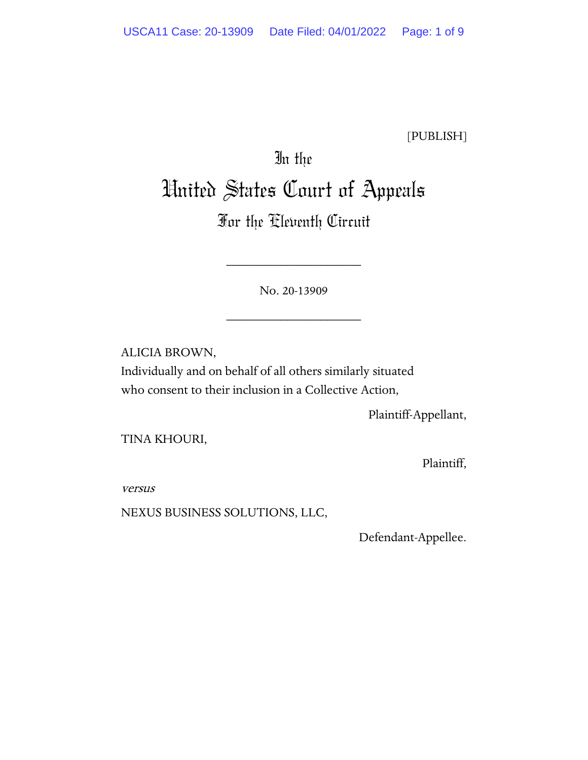[PUBLISH]

# In the United States Court of Appeals

# For the Eleventh Circuit

No. 20-13909

\_\_\_\_\_\_\_\_\_\_\_\_\_\_\_\_\_\_\_\_

\_\_\_\_\_\_\_\_\_\_\_\_\_\_\_\_\_\_\_\_

ALICIA BROWN, Individually and on behalf of all others similarly situated who consent to their inclusion in a Collective Action,

Plaintiff-Appellant,

TINA KHOURI,

Plaintiff,

versus

NEXUS BUSINESS SOLUTIONS, LLC,

Defendant-Appellee.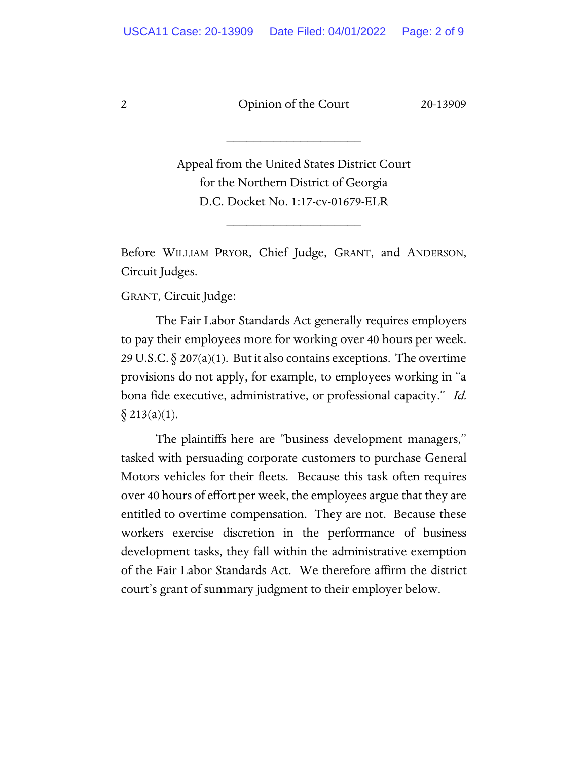\_\_\_\_\_\_\_\_\_\_\_\_\_\_\_\_\_\_\_\_

Appeal from the United States District Court for the Northern District of Georgia D.C. Docket No. 1:17-cv-01679-ELR

\_\_\_\_\_\_\_\_\_\_\_\_\_\_\_\_\_\_\_\_

Before WILLIAM PRYOR, Chief Judge, GRANT, and ANDERSON, Circuit Judges.

GRANT, Circuit Judge:

The Fair Labor Standards Act generally requires employers to pay their employees more for working over 40 hours per week. 29 U.S.C.  $\S 207(a)(1)$ . But it also contains exceptions. The overtime provisions do not apply, for example, to employees working in "a bona fide executive, administrative, or professional capacity." Id.  $§$  213(a)(1).

The plaintiffs here are "business development managers," tasked with persuading corporate customers to purchase General Motors vehicles for their fleets. Because this task often requires over 40 hours of effort per week, the employees argue that they are entitled to overtime compensation. They are not. Because these workers exercise discretion in the performance of business development tasks, they fall within the administrative exemption of the Fair Labor Standards Act. We therefore affirm the district court's grant of summary judgment to their employer below.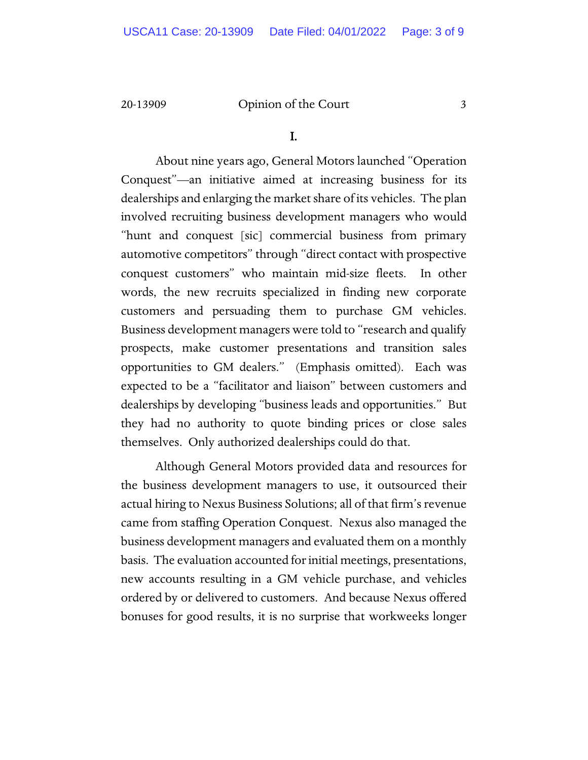I.

About nine years ago, General Motors launched "Operation Conquest"—an initiative aimed at increasing business for its dealerships and enlarging the market share of its vehicles. The plan involved recruiting business development managers who would "hunt and conquest [sic] commercial business from primary automotive competitors" through "direct contact with prospective conquest customers" who maintain mid-size fleets. In other words, the new recruits specialized in finding new corporate customers and persuading them to purchase GM vehicles. Business development managers were told to "research and qualify prospects, make customer presentations and transition sales opportunities to GM dealers." (Emphasis omitted). Each was expected to be a "facilitator and liaison" between customers and dealerships by developing "business leads and opportunities." But they had no authority to quote binding prices or close sales themselves. Only authorized dealerships could do that.

Although General Motors provided data and resources for the business development managers to use, it outsourced their actual hiring to Nexus Business Solutions; all of that firm's revenue came from staffing Operation Conquest. Nexus also managed the business development managers and evaluated them on a monthly basis. The evaluation accounted for initial meetings, presentations, new accounts resulting in a GM vehicle purchase, and vehicles ordered by or delivered to customers. And because Nexus offered bonuses for good results, it is no surprise that workweeks longer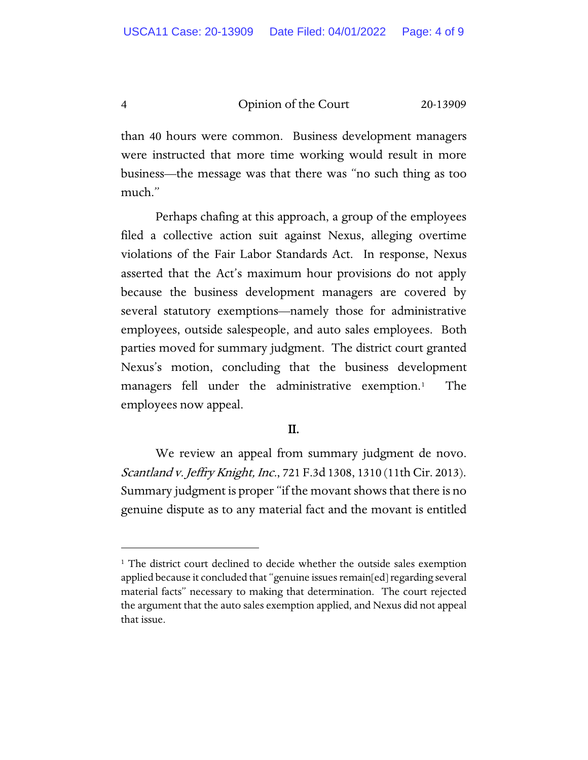than 40 hours were common. Business development managers were instructed that more time working would result in more business—the message was that there was "no such thing as too much."

Perhaps chafing at this approach, a group of the employees filed a collective action suit against Nexus, alleging overtime violations of the Fair Labor Standards Act. In response, Nexus asserted that the Act's maximum hour provisions do not apply because the business development managers are covered by several statutory exemptions—namely those for administrative employees, outside salespeople, and auto sales employees. Both parties moved for summary judgment. The district court granted Nexus's motion, concluding that the business development managers fell under the administrative exemption.[1](#page-3-0) The employees now appeal.

# II.

We review an appeal from summary judgment de novo. Scantland v. Jeffry Knight, Inc., 721 F.3d 1308, 1310 (11th Cir. 2013). Summary judgment is proper "if the movant shows that there is no genuine dispute as to any material fact and the movant is entitled

<span id="page-3-0"></span><sup>&</sup>lt;sup>1</sup> The district court declined to decide whether the outside sales exemption applied because it concluded that "genuine issues remain[ed] regarding several material facts" necessary to making that determination. The court rejected the argument that the auto sales exemption applied, and Nexus did not appeal that issue.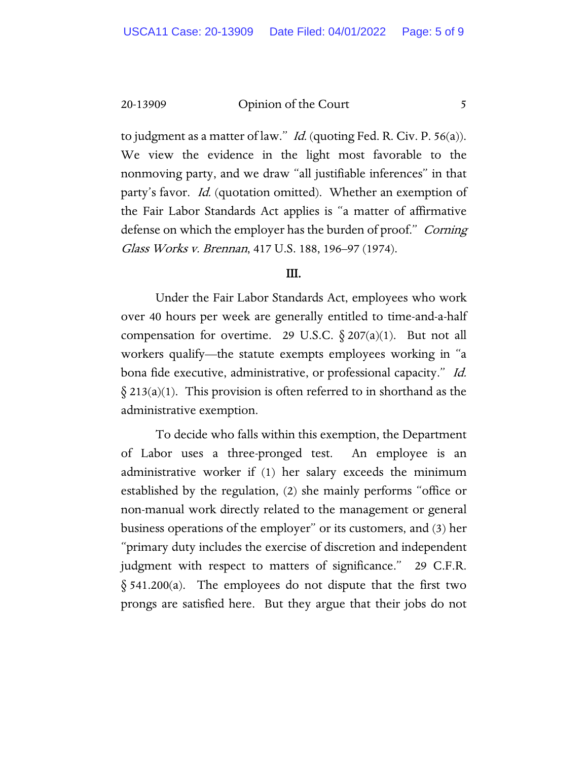to judgment as a matter of law." *Id.* (quoting Fed. R. Civ. P. 56(a)). We view the evidence in the light most favorable to the nonmoving party, and we draw "all justifiable inferences" in that party's favor. Id. (quotation omitted). Whether an exemption of the Fair Labor Standards Act applies is "a matter of affirmative defense on which the employer has the burden of proof." Corning Glass Works v. Brennan, 417 U.S. 188, 196–97 (1974).

# III.

Under the Fair Labor Standards Act, employees who work over 40 hours per week are generally entitled to time-and-a-half compensation for overtime. 29 U.S.C.  $\S 207(a)(1)$ . But not all workers qualify—the statute exempts employees working in "a bona fide executive, administrative, or professional capacity." Id.  $\S 213(a)(1)$ . This provision is often referred to in shorthand as the administrative exemption.

To decide who falls within this exemption, the Department of Labor uses a three-pronged test. An employee is an administrative worker if (1) her salary exceeds the minimum established by the regulation, (2) she mainly performs "office or non-manual work directly related to the management or general business operations of the employer" or its customers, and (3) her "primary duty includes the exercise of discretion and independent judgment with respect to matters of significance." 29 C.F.R.  $\S$  541.200(a). The employees do not dispute that the first two prongs are satisfied here. But they argue that their jobs do not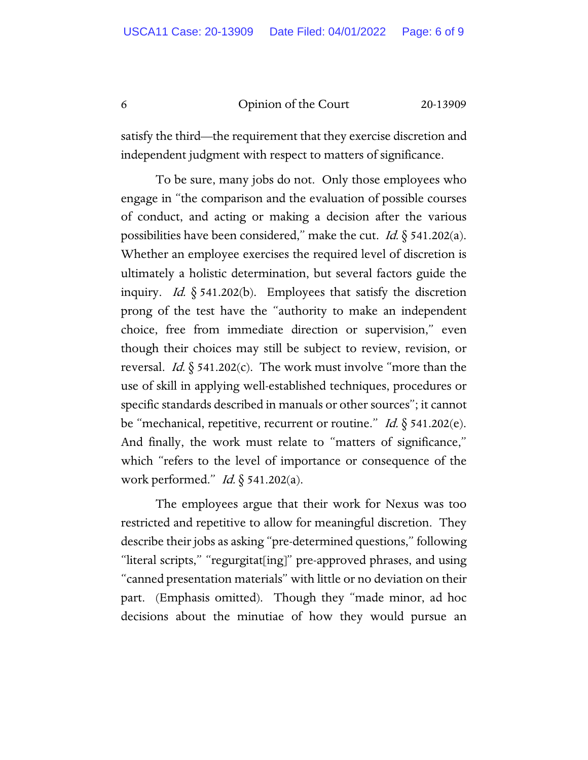satisfy the third—the requirement that they exercise discretion and independent judgment with respect to matters of significance.

To be sure, many jobs do not. Only those employees who engage in "the comparison and the evaluation of possible courses of conduct, and acting or making a decision after the various possibilities have been considered," make the cut. *Id.*  $\S$  541.202(a). Whether an employee exercises the required level of discretion is ultimately a holistic determination, but several factors guide the inquiry. *Id.*  $\S$  541.202(b). Employees that satisfy the discretion prong of the test have the "authority to make an independent choice, free from immediate direction or supervision," even though their choices may still be subject to review, revision, or reversal. *Id.*  $\S$  541.202(c). The work must involve "more than the use of skill in applying well-established techniques, procedures or specific standards described in manuals or other sources"; it cannot be "mechanical, repetitive, recurrent or routine." Id. § 541.202(e). And finally, the work must relate to "matters of significance," which "refers to the level of importance or consequence of the work performed." Id.  $\S$  541.202(a).

The employees argue that their work for Nexus was too restricted and repetitive to allow for meaningful discretion. They describe their jobs as asking "pre-determined questions," following "literal scripts," "regurgitat[ing]" pre-approved phrases, and using "canned presentation materials" with little or no deviation on their part. (Emphasis omitted). Though they "made minor, ad hoc decisions about the minutiae of how they would pursue an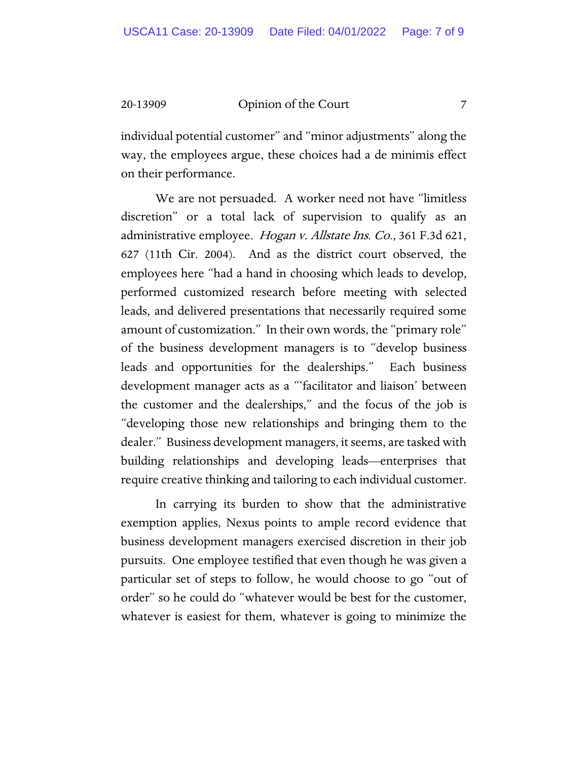individual potential customer" and "minor adjustments" along the way, the employees argue, these choices had a de minimis effect on their performance.

We are not persuaded. A worker need not have "limitless discretion" or a total lack of supervision to qualify as an administrative employee. *Hogan v. Allstate Ins. Co.*, 361 F.3d 621, 627 (11th Cir. 2004). And as the district court observed, the employees here "had a hand in choosing which leads to develop, performed customized research before meeting with selected leads, and delivered presentations that necessarily required some amount of customization." In their own words, the "primary role" of the business development managers is to "develop business leads and opportunities for the dealerships." Each business development manager acts as a "'facilitator and liaison' between the customer and the dealerships," and the focus of the job is "developing those new relationships and bringing them to the dealer." Business development managers, it seems, are tasked with building relationships and developing leads—enterprises that require creative thinking and tailoring to each individual customer.

In carrying its burden to show that the administrative exemption applies, Nexus points to ample record evidence that business development managers exercised discretion in their job pursuits. One employee testified that even though he was given a particular set of steps to follow, he would choose to go "out of order" so he could do "whatever would be best for the customer, whatever is easiest for them, whatever is going to minimize the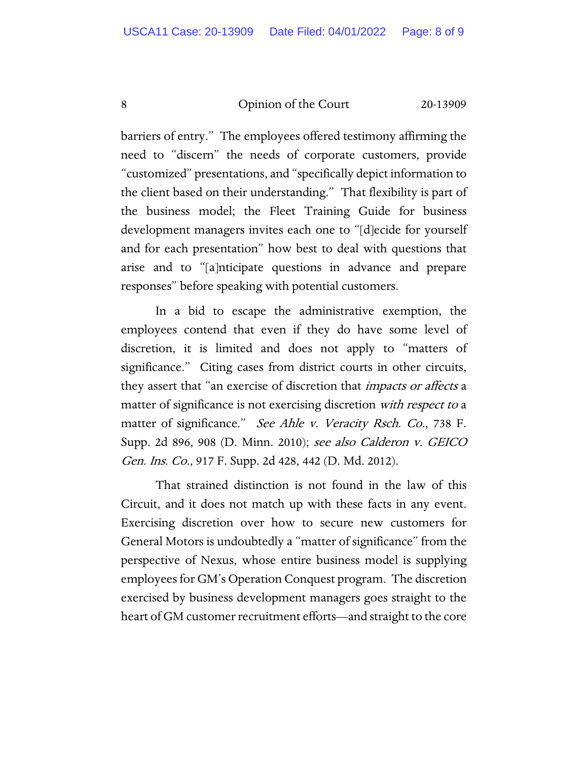barriers of entry." The employees offered testimony affirming the need to "discern" the needs of corporate customers, provide "customized" presentations, and "specifically depict information to the client based on their understanding." That flexibility is part of the business model; the Fleet Training Guide for business development managers invites each one to "[d]ecide for yourself and for each presentation" how best to deal with questions that arise and to "[a]nticipate questions in advance and prepare responses" before speaking with potential customers.

In a bid to escape the administrative exemption, the employees contend that even if they do have some level of discretion, it is limited and does not apply to "matters of significance." Citing cases from district courts in other circuits, they assert that "an exercise of discretion that impacts or affects a matter of significance is not exercising discretion *with respect to* a matter of significance." See Ahle v. Veracity Rsch. Co., 738 F. Supp. 2d 896, 908 (D. Minn. 2010); see also Calderon v. GEICO Gen. Ins. Co., 917 F. Supp. 2d 428, 442 (D. Md. 2012).

That strained distinction is not found in the law of this Circuit, and it does not match up with these facts in any event. Exercising discretion over how to secure new customers for General Motors is undoubtedly a "matter of significance" from the perspective of Nexus, whose entire business model is supplying employees for GM's Operation Conquest program. The discretion exercised by business development managers goes straight to the heart of GM customer recruitment efforts—and straight to the core